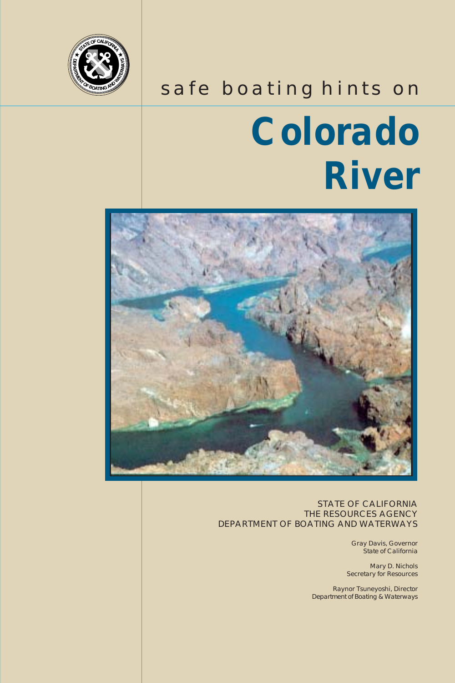

### safe boating hints on

# **Colorado River**



STATE OF CALIFORNIA THE RESOURCES AGENCY DEPARTMENT OF BOATING AND WATERWAYS

> Gray Davis, Governor State of California

Mary D. Nichols Secretary for Resources

Raynor Tsuneyoshi, Director Department of Boating & Waterways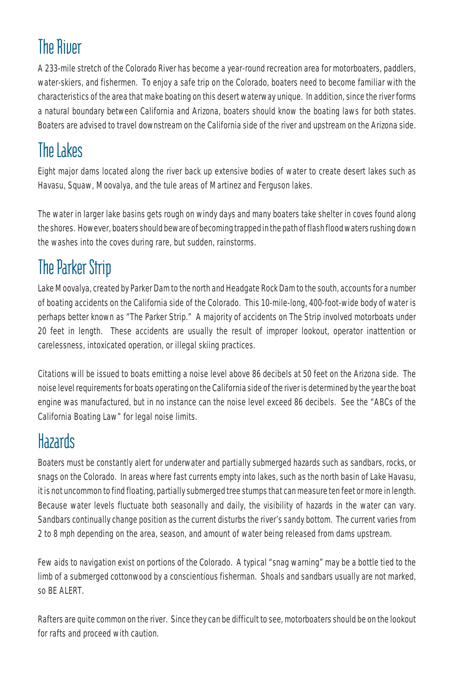## **The River**

A 233-mile stretch of the Colorado River has become a year-round recreation area for motorboaters, paddlers, water-skiers, and fishermen. To enjoy a safe trip on the Colorado, boaters need to become familiar with the characteristics of the area that make boating on this desert waterway unique. In addition, since the river forms a natural boundary between California and Arizona, boaters should know the boating laws for both states. Boaters are advised to travel downstream on the California side of the river and upstream on the Arizona side.

### The Lakes

Eight major dams located along the river back up extensive bodies of water to create desert lakes such as Havasu, Squaw, Moovalya, and the tule areas of Martinez and Ferguson lakes.

The water in larger lake basins gets rough on windy days and many boaters take shelter in coves found along the shores. However, boaters should beware of becoming trapped in the path of flash flood waters rushing down the washes into the coves during rare, but sudden, rainstorms.

## The Parker Strip

Lake Moovalya, created by Parker Dam to the north and Headgate Rock Dam to the south, accounts for a number of boating accidents on the California side of the Colorado. This 10-mile-long, 400-foot-wide body of water is perhaps better known as "The Parker Strip." A majority of accidents on The Strip involved motorboats under 20 feet in length. These accidents are usually the result of improper lookout, operator inattention or carelessness, intoxicated operation, or illegal skiing practices.

Citations will be issued to boats emitting a noise level above 86 decibels at 50 feet on the Arizona side. The noise level requirements for boats operating on the California side of the river is determined by the year the boat engine was manufactured, but in no instance can the noise level exceed 86 decibels. See the "ABCs of the California Boating Law" for legal noise limits.

### Hazards

Boaters must be constantly alert for underwater and partially submerged hazards such as sandbars, rocks, or snags on the Colorado. In areas where fast currents empty into lakes, such as the north basin of Lake Havasu, it is not uncommon to find floating, partially submerged tree stumps that can measure ten feet or more in length. Because water levels fluctuate both seasonally and daily, the visibility of hazards in the water can vary. Sandbars continually change position as the current disturbs the river's sandy bottom. The current varies from 2 to 8 mph depending on the area, season, and amount of water being released from dams upstream.

Few aids to navigation exist on portions of the Colorado. A typical "snag warning" may be a bottle tied to the limb of a submerged cottonwood by a conscientious fisherman. Shoals and sandbars usually are not marked, so BE ALERT.

Rafters are quite common on the river. Since they can be difficult to see, motorboaters should be on the lookout for rafts and proceed with caution.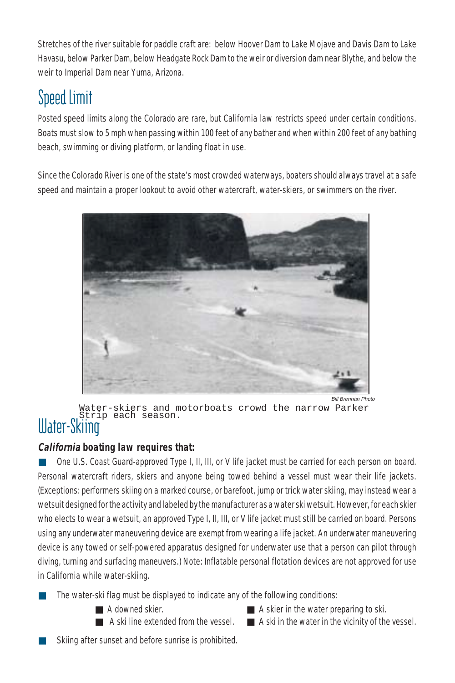Stretches of the river suitable for paddle craft are: below Hoover Dam to Lake Mojave and Davis Dam to Lake Havasu, below Parker Dam, below Headgate Rock Dam to the weir or diversion dam near Blythe, and below the weir to Imperial Dam near Yuma, Arizona.

### Speed Limit

Posted speed limits along the Colorado are rare, but California law restricts speed under certain conditions. Boats must slow to 5 mph when passing within 100 feet of any bather and when within 200 feet of any bathing beach, swimming or diving platform, or landing float in use.

Since the Colorado River is one of the state's most crowded waterways, boaters should always travel at a safe speed and maintain a proper lookout to avoid other watercraft, water-skiers, or swimmers on the river.



Bill Brennan Photo Water-skiers and motorboats crowd the narrow Parker Strip each season.

## Water-Skiing

#### **California boating law requires that:**

One U.S. Coast Guard-approved Type I, II, III, or V life jacket must be carried for each person on board. Personal watercraft riders, skiers and anyone being towed behind a vessel must wear their life jackets. (Exceptions: performers skiing on a marked course, or barefoot, jump or trick water skiing, may instead wear a wetsuit designed for the activity and labeled by the manufacturer as a water ski wetsuit. However, for each skier who elects to wear a wetsuit, an approved Type I, II, III, or V life jacket must still be carried on board. Persons using any underwater maneuvering device are exempt from wearing a life jacket. An underwater maneuvering device is any towed or self-powered apparatus designed for underwater use that a person can pilot through diving, turning and surfacing maneuvers.) Note: Inflatable personal flotation devices are not approved for use in California while water-skiing.

- The water-ski flag must be displayed to indicate any of the following conditions:
	-
	- A downed skier. A skier in the water preparing to ski.
	- A ski line extended from the vessel. A ski in the water in the vicinity of the vessel.
- 
- Skiing after sunset and before sunrise is prohibited.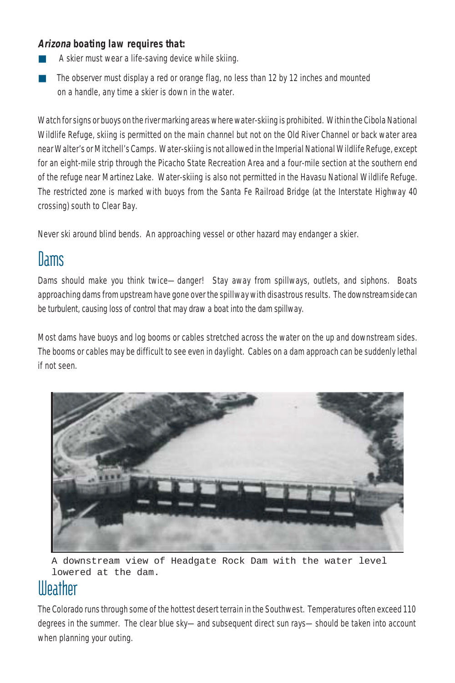#### **Arizona boating law requires that:**

- A skier must wear a life-saving device while skiing.
- The observer must display a red or orange flag, no less than 12 by 12 inches and mounted on a handle, any time a skier is down in the water.

Watch for signs or buoys on the river marking areas where water-skiing is prohibited. Within the Cibola National Wildlife Refuge, skiing is permitted on the main channel but not on the Old River Channel or back water area near Walter's or Mitchell's Camps. Water-skiing is not allowed in the Imperial National Wildlife Refuge, except for an eight-mile strip through the Picacho State Recreation Area and a four-mile section at the southern end of the refuge near Martinez Lake. Water-skiing is also not permitted in the Havasu National Wildlife Refuge. The restricted zone is marked with buoys from the Santa Fe Railroad Bridge (at the Interstate Highway 40 crossing) south to Clear Bay.

Never ski around blind bends. An approaching vessel or other hazard may endanger a skier.

### **Dams**

Dams should make you think twice—danger! Stay away from spillways, outlets, and siphons. Boats approaching dams from upstream have gone over the spillway with disastrous results. The downstream side can be turbulent, causing loss of control that may draw a boat into the dam spillway.

Most dams have buoys and log booms or cables stretched across the water on the up and downstream sides. The booms or cables may be difficult to see even in daylight. Cables on a dam approach can be suddenly lethal if not seen.



A downstream view of Headgate Rock Dam with the water level lowered at the dam.

### **Illeather**

The Colorado runs through some of the hottest desert terrain in the Southwest. Temperatures often exceed 110 degrees in the summer. The clear blue sky—and subsequent direct sun rays—should be taken into account when planning your outing.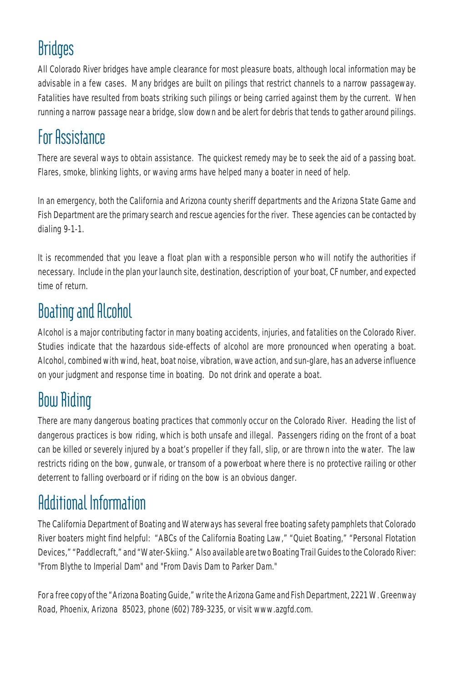### **Bridges**

All Colorado River bridges have ample clearance for most pleasure boats, although local information may be advisable in a few cases. Many bridges are built on pilings that restrict channels to a narrow passageway. Fatalities have resulted from boats striking such pilings or being carried against them by the current. When running a narrow passage near a bridge, slow down and be alert for debris that tends to gather around pilings.

### For Assistance

There are several ways to obtain assistance. The quickest remedy may be to seek the aid of a passing boat. Flares, smoke, blinking lights, or waving arms have helped many a boater in need of help.

In an emergency, both the California and Arizona county sheriff departments and the Arizona State Game and Fish Department are the primary search and rescue agencies for the river. These agencies can be contacted by dialing 9-1-1.

It is recommended that you leave a float plan with a responsible person who will notify the authorities if necessary. Include in the plan your launch site, destination, description of your boat, CF number, and expected time of return.

## Boating and Alcohol

Alcohol is a major contributing factor in many boating accidents, injuries, and fatalities on the Colorado River. Studies indicate that the hazardous side-effects of alcohol are more pronounced when operating a boat. Alcohol, combined with wind, heat, boat noise, vibration, wave action, and sun-glare, has an adverse influence on your judgment and response time in boating. Do not drink and operate a boat.

# Bow Riding

There are many dangerous boating practices that commonly occur on the Colorado River. Heading the list of dangerous practices is bow riding, which is both unsafe and illegal. Passengers riding on the front of a boat can be killed or severely injured by a boat's propeller if they fall, slip, or are thrown into the water. The law restricts riding on the bow, gunwale, or transom of a powerboat where there is no protective railing or other deterrent to falling overboard or if riding on the bow is an obvious danger.

## Additional Information

The California Department of Boating and Waterways has several free boating safety pamphlets that Colorado River boaters might find helpful: "ABCs of the California Boating Law," "Quiet Boating," "Personal Flotation Devices," "Paddlecraft," and "Water-Skiing." Also available are two Boating Trail Guides to the Colorado River: "From Blythe to Imperial Dam" and "From Davis Dam to Parker Dam."

For a free copy of the "Arizona Boating Guide," write the Arizona Game and Fish Department, 2221 W. Greenway Road, Phoenix, Arizona 85023, phone (602) 789-3235, or visit www.azgfd.com.